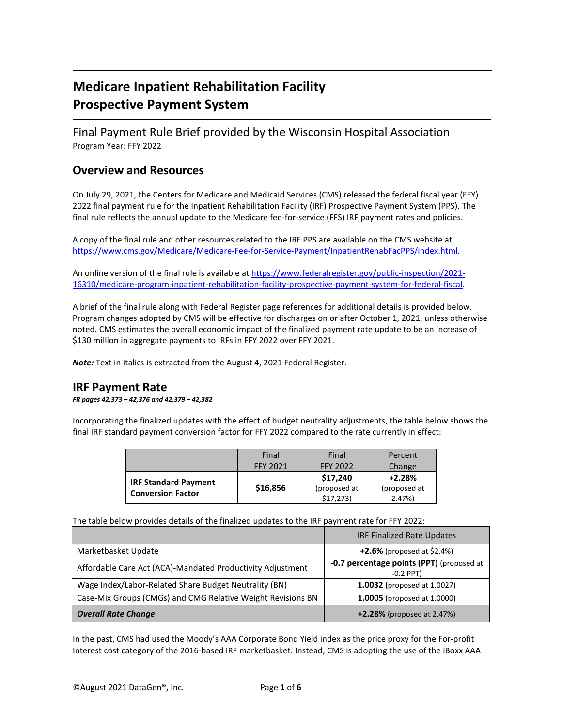# **Medicare Inpatient Rehabilitation Facility Prospective Payment System**

Final Payment Rule Brief provided by the Wisconsin Hospital Association Program Year: FFY 2022

### **Overview and Resources**

On July 29, 2021, the Centers for Medicare and Medicaid Services (CMS) released the federal fiscal year (FFY) 2022 final payment rule for the Inpatient Rehabilitation Facility (IRF) Prospective Payment System (PPS). The final rule reflects the annual update to the Medicare fee-for-service (FFS) IRF payment rates and policies.

A copy of the final rule and other resources related to the IRF PPS are available on the CMS website at [https://www.cms.gov/Medicare/Medicare-Fee-for-Service-Payment/InpatientRehabFacPPS/index.html.](https://www.cms.gov/Medicare/Medicare-Fee-for-Service-Payment/InpatientRehabFacPPS/index.html)

An online version of the final rule is available at [https://www.federalregister.gov/public-inspection/2021-](https://www.federalregister.gov/public-inspection/2021-16310/medicare-program-inpatient-rehabilitation-facility-prospective-payment-system-for-federal-fiscal) [16310/medicare-program-inpatient-rehabilitation-facility-prospective-payment-system-for-federal-fiscal.](https://www.federalregister.gov/public-inspection/2021-16310/medicare-program-inpatient-rehabilitation-facility-prospective-payment-system-for-federal-fiscal)

A brief of the final rule along with Federal Register page references for additional details is provided below. Program changes adopted by CMS will be effective for discharges on or after October 1, 2021, unless otherwise noted. CMS estimates the overall economic impact of the finalized payment rate update to be an increase of \$130 million in aggregate payments to IRFs in FFY 2022 over FFY 2021.

*Note:* Text in italics is extracted from the August 4, 2021 Federal Register.

#### **IRF Payment Rate**

*FR pages 42,373 – 42,376 and 42,379 – 42,382*

Incorporating the finalized updates with the effect of budget neutrality adjustments, the table below shows the final IRF standard payment conversion factor for FFY 2022 compared to the rate currently in effect:

|                             | Final           | Final           | Percent      |
|-----------------------------|-----------------|-----------------|--------------|
|                             | <b>FFY 2021</b> | <b>FFY 2022</b> | Change       |
| <b>IRF Standard Payment</b> |                 | \$17,240        | $+2.28%$     |
| <b>Conversion Factor</b>    | \$16,856        | (proposed at    | (proposed at |
|                             |                 | \$17,273        | 2.47%        |

The table below provides details of the finalized updates to the IRF payment rate for FFY 2022:

|                                                             | <b>IRF Finalized Rate Updates</b>                        |  |
|-------------------------------------------------------------|----------------------------------------------------------|--|
| Marketbasket Update                                         | $+2.6%$ (proposed at \$2.4%)                             |  |
| Affordable Care Act (ACA)-Mandated Productivity Adjustment  | -0.7 percentage points (PPT) (proposed at<br>$-0.2$ PPT) |  |
| Wage Index/Labor-Related Share Budget Neutrality (BN)       | <b>1.0032</b> (proposed at 1.0027)                       |  |
| Case-Mix Groups (CMGs) and CMG Relative Weight Revisions BN | <b>1.0005</b> (proposed at 1.0000)                       |  |
| <b>Overall Rate Change</b>                                  | $+2.28\%$ (proposed at 2.47%)                            |  |

In the past, CMS had used the Moody's AAA Corporate Bond Yield index as the price proxy for the For-profit Interest cost category of the 2016-based IRF marketbasket. Instead, CMS is adopting the use of the iBoxx AAA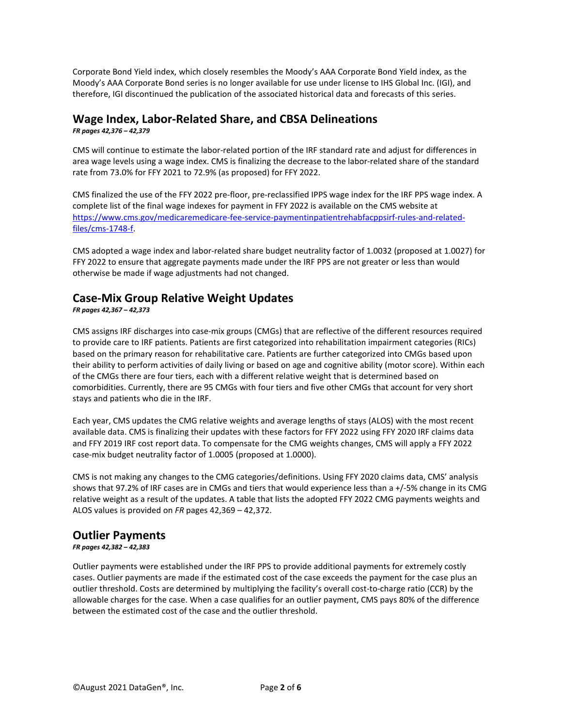Corporate Bond Yield index, which closely resembles the Moody's AAA Corporate Bond Yield index, as the Moody's AAA Corporate Bond series is no longer available for use under license to IHS Global Inc. (IGI), and therefore, IGI discontinued the publication of the associated historical data and forecasts of this series.

### **Wage Index, Labor-Related Share, and CBSA Delineations**

*FR pages 42,376 – 42,379*

CMS will continue to estimate the labor-related portion of the IRF standard rate and adjust for differences in area wage levels using a wage index. CMS is finalizing the decrease to the labor-related share of the standard rate from 73.0% for FFY 2021 to 72.9% (as proposed) for FFY 2022.

CMS finalized the use of the FFY 2022 pre-floor, pre-reclassified IPPS wage index for the IRF PPS wage index. A complete list of the final wage indexes for payment in FFY 2022 is available on the CMS website at [https://www.cms.gov/medicaremedicare-fee-service-paymentinpatientrehabfacppsirf-rules-and-related](https://www.cms.gov/medicaremedicare-fee-service-paymentinpatientrehabfacppsirf-rules-and-related-files/cms-1748-f)[files/cms-1748-f.](https://www.cms.gov/medicaremedicare-fee-service-paymentinpatientrehabfacppsirf-rules-and-related-files/cms-1748-f)

CMS adopted a wage index and labor-related share budget neutrality factor of 1.0032 (proposed at 1.0027) for FFY 2022 to ensure that aggregate payments made under the IRF PPS are not greater or less than would otherwise be made if wage adjustments had not changed.

## **Case-Mix Group Relative Weight Updates**

*FR pages 42,367 – 42,373*

CMS assigns IRF discharges into case-mix groups (CMGs) that are reflective of the different resources required to provide care to IRF patients. Patients are first categorized into rehabilitation impairment categories (RICs) based on the primary reason for rehabilitative care. Patients are further categorized into CMGs based upon their ability to perform activities of daily living or based on age and cognitive ability (motor score). Within each of the CMGs there are four tiers, each with a different relative weight that is determined based on comorbidities. Currently, there are 95 CMGs with four tiers and five other CMGs that account for very short stays and patients who die in the IRF.

Each year, CMS updates the CMG relative weights and average lengths of stays (ALOS) with the most recent available data. CMS is finalizing their updates with these factors for FFY 2022 using FFY 2020 IRF claims data and FFY 2019 IRF cost report data. To compensate for the CMG weights changes, CMS will apply a FFY 2022 case-mix budget neutrality factor of 1.0005 (proposed at 1.0000).

CMS is not making any changes to the CMG categories/definitions. Using FFY 2020 claims data, CMS' analysis shows that 97.2% of IRF cases are in CMGs and tiers that would experience less than a +/-5% change in its CMG relative weight as a result of the updates. A table that lists the adopted FFY 2022 CMG payments weights and ALOS values is provided on *FR* pages 42,369 – 42,372.

### **Outlier Payments**

#### *FR pages 42,382 – 42,383*

Outlier payments were established under the IRF PPS to provide additional payments for extremely costly cases. Outlier payments are made if the estimated cost of the case exceeds the payment for the case plus an outlier threshold. Costs are determined by multiplying the facility's overall cost-to-charge ratio (CCR) by the allowable charges for the case. When a case qualifies for an outlier payment, CMS pays 80% of the difference between the estimated cost of the case and the outlier threshold.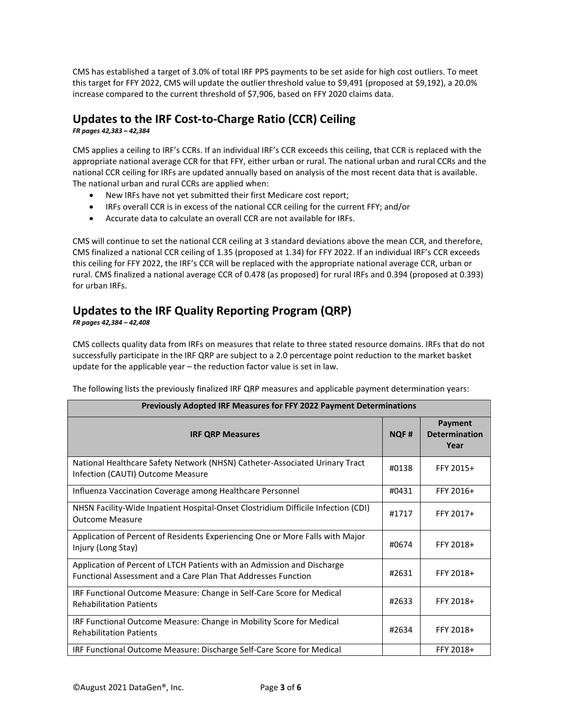CMS has established a target of 3.0% of total IRF PPS payments to be set aside for high cost outliers. To meet this target for FFY 2022, CMS will update the outlier threshold value to \$9,491 (proposed at \$9,192), a 20.0% increase compared to the current threshold of \$7,906, based on FFY 2020 claims data.

## **Updates to the IRF Cost-to-Charge Ratio (CCR) Ceiling**

*FR pages 42,383 – 42,384*

CMS applies a ceiling to IRF's CCRs. If an individual IRF's CCR exceeds this ceiling, that CCR is replaced with the appropriate national average CCR for that FFY, either urban or rural. The national urban and rural CCRs and the national CCR ceiling for IRFs are updated annually based on analysis of the most recent data that is available. The national urban and rural CCRs are applied when:

- New IRFs have not yet submitted their first Medicare cost report;
- IRFs overall CCR is in excess of the national CCR ceiling for the current FFY; and/or
- Accurate data to calculate an overall CCR are not available for IRFs.

CMS will continue to set the national CCR ceiling at 3 standard deviations above the mean CCR, and therefore, CMS finalized a national CCR ceiling of 1.35 (proposed at 1.34) for FFY 2022. If an individual IRF's CCR exceeds this ceiling for FFY 2022, the IRF's CCR will be replaced with the appropriate national average CCR, urban or rural. CMS finalized a national average CCR of 0.478 (as proposed) for rural IRFs and 0.394 (proposed at 0.393) for urban IRFs.

## **Updates to the IRF Quality Reporting Program (QRP)**

*FR pages 42,384 – 42,408*

CMS collects quality data from IRFs on measures that relate to three stated resource domains. IRFs that do not successfully participate in the IRF QRP are subject to a 2.0 percentage point reduction to the market basket update for the applicable year – the reduction factor value is set in law.

The following lists the previously finalized IRF QRP measures and applicable payment determination years:

| Previously Adopted IRF Measures for FFY 2022 Payment Determinations                                                                             |             |                                         |  |
|-------------------------------------------------------------------------------------------------------------------------------------------------|-------------|-----------------------------------------|--|
| <b>IRF QRP Measures</b>                                                                                                                         | <b>NQF#</b> | Payment<br><b>Determination</b><br>Year |  |
| National Healthcare Safety Network (NHSN) Catheter-Associated Urinary Tract<br>Infection (CAUTI) Outcome Measure                                | #0138       | FFY 2015+                               |  |
| Influenza Vaccination Coverage among Healthcare Personnel                                                                                       | #0431       | FFY 2016+                               |  |
| NHSN Facility-Wide Inpatient Hospital-Onset Clostridium Difficile Infection (CDI)<br><b>Outcome Measure</b>                                     | #1717       | FFY 2017+                               |  |
| Application of Percent of Residents Experiencing One or More Falls with Major<br>Injury (Long Stay)                                             | #0674       | FFY 2018+                               |  |
| Application of Percent of LTCH Patients with an Admission and Discharge<br><b>Functional Assessment and a Care Plan That Addresses Function</b> | #2631       | FFY 2018+                               |  |
| IRF Functional Outcome Measure: Change in Self-Care Score for Medical<br><b>Rehabilitation Patients</b>                                         | #2633       | FFY 2018+                               |  |
| IRF Functional Outcome Measure: Change in Mobility Score for Medical<br><b>Rehabilitation Patients</b>                                          | #2634       | FFY 2018+                               |  |
| IRF Functional Outcome Measure: Discharge Self-Care Score for Medical                                                                           |             | FFY 2018+                               |  |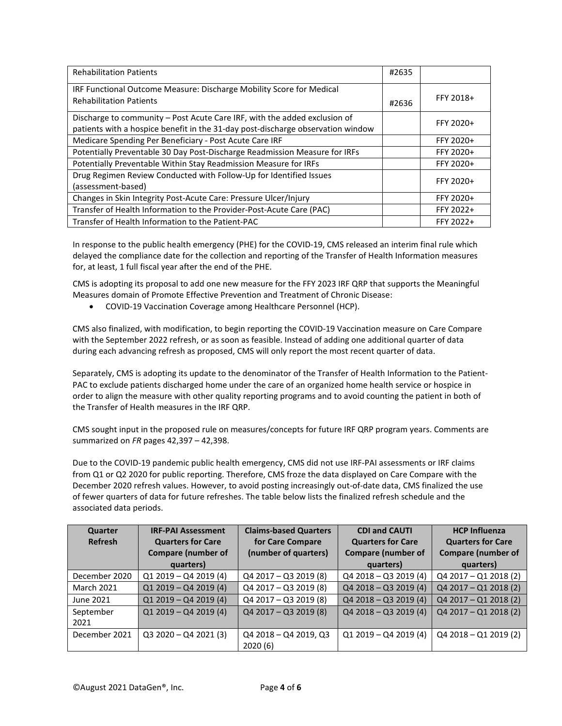| <b>Rehabilitation Patients</b>                                                                         | #2635 |           |
|--------------------------------------------------------------------------------------------------------|-------|-----------|
| IRF Functional Outcome Measure: Discharge Mobility Score for Medical<br><b>Rehabilitation Patients</b> |       | FFY 2018+ |
|                                                                                                        | #2636 |           |
| Discharge to community - Post Acute Care IRF, with the added exclusion of                              |       | FFY 2020+ |
| patients with a hospice benefit in the 31-day post-discharge observation window                        |       |           |
| Medicare Spending Per Beneficiary - Post Acute Care IRF                                                |       | FFY 2020+ |
| Potentially Preventable 30 Day Post-Discharge Readmission Measure for IRFs                             |       | FFY 2020+ |
| Potentially Preventable Within Stay Readmission Measure for IRFs                                       |       | FFY 2020+ |
| Drug Regimen Review Conducted with Follow-Up for Identified Issues                                     |       | FFY 2020+ |
| (assessment-based)                                                                                     |       |           |
| Changes in Skin Integrity Post-Acute Care: Pressure Ulcer/Injury                                       |       | FFY 2020+ |
| Transfer of Health Information to the Provider-Post-Acute Care (PAC)                                   |       | FFY 2022+ |
| Transfer of Health Information to the Patient-PAC                                                      |       | FFY 2022+ |

In response to the public health emergency (PHE) for the COVID-19, CMS released an interim final rule which delayed the compliance date for the collection and reporting of the Transfer of Health Information measures for, at least, 1 full fiscal year after the end of the PHE.

CMS is adopting its proposal to add one new measure for the FFY 2023 IRF QRP that supports the Meaningful Measures domain of Promote Effective Prevention and Treatment of Chronic Disease:

• COVID-19 Vaccination Coverage among Healthcare Personnel (HCP).

CMS also finalized, with modification, to begin reporting the COVID-19 Vaccination measure on Care Compare with the September 2022 refresh, or as soon as feasible. Instead of adding one additional quarter of data during each advancing refresh as proposed, CMS will only report the most recent quarter of data.

Separately, CMS is adopting its update to the denominator of the Transfer of Health Information to the Patient-PAC to exclude patients discharged home under the care of an organized home health service or hospice in order to align the measure with other quality reporting programs and to avoid counting the patient in both of the Transfer of Health measures in the IRF QRP.

CMS sought input in the proposed rule on measures/concepts for future IRF QRP program years. Comments are summarized on *FR* pages 42,397 – 42,398.

Due to the COVID-19 pandemic public health emergency, CMS did not use IRF-PAI assessments or IRF claims from Q1 or Q2 2020 for public reporting. Therefore, CMS froze the data displayed on Care Compare with the December 2020 refresh values. However, to avoid posting increasingly out-of-date data, CMS finalized the use of fewer quarters of data for future refreshes. The table below lists the finalized refresh schedule and the associated data periods.

| Quarter           | <b>IRF-PAI Assessment</b> | <b>Claims-based Quarters</b> | <b>CDI and CAUTI</b>      | <b>HCP Influenza</b>      |
|-------------------|---------------------------|------------------------------|---------------------------|---------------------------|
| <b>Refresh</b>    | <b>Quarters for Care</b>  | for Care Compare             | <b>Quarters for Care</b>  | <b>Quarters for Care</b>  |
|                   | <b>Compare (number of</b> | (number of quarters)         | <b>Compare (number of</b> | <b>Compare (number of</b> |
|                   | quarters)                 |                              | quarters)                 | quarters)                 |
| December 2020     | $Q1 2019 - Q4 2019 (4)$   | Q4 2017 - Q3 2019 (8)        | $Q42018 - Q32019(4)$      | Q4 2017 - Q1 2018 (2)     |
| <b>March 2021</b> | $Q1 2019 - Q4 2019 (4)$   | Q4 2017 - Q3 2019 (8)        | $Q42018 - Q32019(4)$      | Q4 2017 - Q1 2018 (2)     |
| June 2021         | $Q1 2019 - Q4 2019 (4)$   | $Q4$ 2017 - Q3 2019 (8)      | $Q42018 - Q32019(4)$      | $Q42017 - Q12018(2)$      |
| September         | $Q1 2019 - Q4 2019 (4)$   | $Q42017 - Q32019(8)$         | $Q42018 - Q32019(4)$      | $Q42017 - Q12018(2)$      |
| 2021              |                           |                              |                           |                           |
| December 2021     | $Q3 2020 - Q4 2021 (3)$   | Q4 2018 - Q4 2019, Q3        | $Q1 2019 - Q4 2019(4)$    | $Q42018 - Q12019(2)$      |
|                   |                           | 2020(6)                      |                           |                           |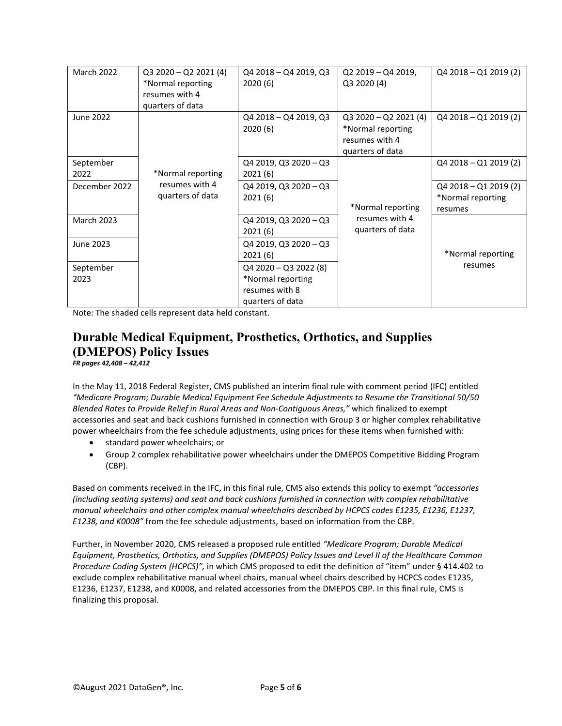| March 2022        | $Q3 2020 - Q2 2021 (4)$<br>*Normal reporting | Q4 2018 - Q4 2019, Q3<br>2020(6) | Q2 2019 - Q4 2019,<br>Q3 2020 (4) | $Q42018 - Q12019(2)$    |
|-------------------|----------------------------------------------|----------------------------------|-----------------------------------|-------------------------|
|                   | resumes with 4                               |                                  |                                   |                         |
|                   | quarters of data                             |                                  |                                   |                         |
| June 2022         |                                              | Q4 2018 - Q4 2019, Q3            | $Q3 2020 - Q2 2021 (4)$           | Q4 2018 - Q1 2019 (2)   |
|                   |                                              | 2020(6)                          | *Normal reporting                 |                         |
|                   |                                              |                                  |                                   |                         |
|                   |                                              |                                  | resumes with 4                    |                         |
|                   |                                              |                                  | quarters of data                  |                         |
| September         |                                              | Q4 2019, Q3 2020 - Q3            |                                   | Q4 2018 - Q1 2019 (2)   |
| 2022              | *Normal reporting                            | 2021(6)                          |                                   |                         |
| December 2022     | resumes with 4                               | Q4 2019, Q3 2020 - Q3            |                                   | $Q4 2018 - Q1 2019 (2)$ |
|                   | quarters of data                             | 2021(6)                          |                                   | *Normal reporting       |
|                   |                                              |                                  | *Normal reporting                 | resumes                 |
| <b>March 2023</b> |                                              | Q4 2019, Q3 2020 - Q3            | resumes with 4                    |                         |
|                   |                                              | 2021(6)                          | quarters of data                  |                         |
| June 2023         |                                              | Q4 2019, Q3 2020 - Q3            |                                   |                         |
|                   |                                              | 2021(6)                          |                                   | *Normal reporting       |
| September         |                                              | $Q4$ 2020 - Q3 2022 (8)          |                                   | resumes                 |
| 2023              |                                              | *Normal reporting                |                                   |                         |
|                   |                                              | resumes with 8                   |                                   |                         |
|                   |                                              | quarters of data                 |                                   |                         |

Note: The shaded cells represent data held constant.

#### **Durable Medical Equipment, Prosthetics, Orthotics, and Supplies (DMEPOS) Policy Issues** *FR pages 42,408 – 42,412*

In the May 11, 2018 Federal Register, CMS published an interim final rule with comment period (IFC) entitled *"Medicare Program; Durable Medical Equipment Fee Schedule Adjustments to Resume the Transitional 50/50 Blended Rates to Provide Relief in Rural Areas and Non-Contiguous Areas,"* which finalized to exempt accessories and seat and back cushions furnished in connection with Group 3 or higher complex rehabilitative power wheelchairs from the fee schedule adjustments, using prices for these items when furnished with:

- standard power wheelchairs; or
- Group 2 complex rehabilitative power wheelchairs under the DMEPOS Competitive Bidding Program (CBP).

Based on comments received in the IFC, in this final rule, CMS also extends this policy to exempt *"accessories (including seating systems) and seat and back cushions furnished in connection with complex rehabilitative manual wheelchairs and other complex manual wheelchairs described by HCPCS codes E1235, E1236, E1237, E1238, and K0008"* from the fee schedule adjustments, based on information from the CBP.

Further, in November 2020, CMS released a proposed rule entitled *"Medicare Program; Durable Medical Equipment, Prosthetics, Orthotics, and Supplies (DMEPOS) Policy Issues and Level II of the Healthcare Common Procedure Coding System (HCPCS)",* in which CMS proposed to edit the definition of "item" under § 414.402 to exclude complex rehabilitative manual wheel chairs, manual wheel chairs described by HCPCS codes E1235, E1236, E1237, E1238, and K0008, and related accessories from the DMEPOS CBP. In this final rule, CMS is finalizing this proposal.